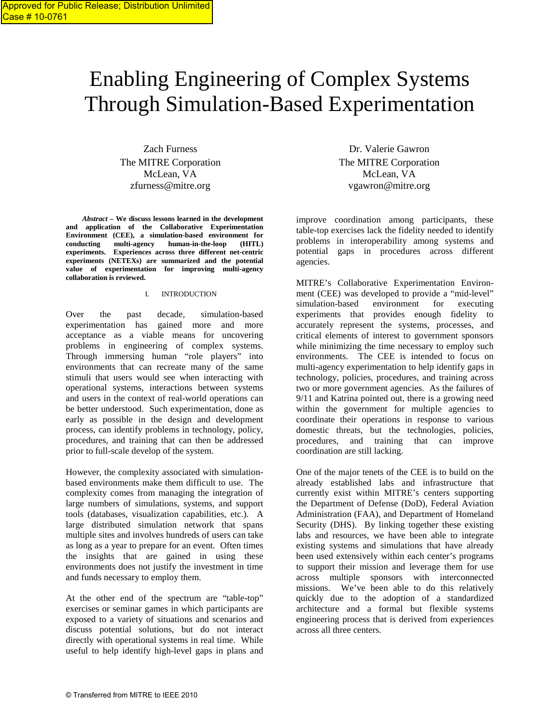# Enabling Engineering of Complex Systems Through Simulation-Based Experimentation

Zach Furness The MITRE Corporation McLean, VA zfurness@mitre.org

*Abstract –* **We discuss lessons learned in the development and application of the Collaborative Experimentation Environment (CEE), a simulation-based environment for conducting multi-agency human-in-the-loop (HITL) experiments. Experiences across three different net-centric experiments (NETEXs) are summarized and the potential value of experimentation for improving multi-agency collaboration is reviewed.**

#### I. INTRODUCTION

Over the past decade, simulation-based experimentation has gained more and more acceptance as a viable means for uncovering problems in engineering of complex systems. Through immersing human "role players" into environments that can recreate many of the same stimuli that users would see when interacting with operational systems, interactions between systems and users in the context of real-world operations can be better understood. Such experimentation, done as early as possible in the design and development process, can identify problems in technology, policy, procedures, and training that can then be addressed prior to full-scale develop of the system.

However, the complexity associated with simulationbased environments make them difficult to use. The complexity comes from managing the integration of large numbers of simulations, systems, and support tools (databases, visualization capabilities, etc.). A large distributed simulation network that spans multiple sites and involves hundreds of users can take as long as a year to prepare for an event. Often times the insights that are gained in using these environments does not justify the investment in time and funds necessary to employ them.

At the other end of the spectrum are "table-top" exercises or seminar games in which participants are exposed to a variety of situations and scenarios and discuss potential solutions, but do not interact directly with operational systems in real time. While useful to help identify high-level gaps in plans and

Dr. Valerie Gawron The MITRE Corporation McLean, VA vgawron@mitre.org

improve coordination among participants, these table-top exercises lack the fidelity needed to identify problems in interoperability among systems and potential gaps in procedures across different agencies.

MITRE's Collaborative Experimentation Environment (CEE) was developed to provide a "mid-level" simulation-based environment for executing experiments that provides enough fidelity to accurately represent the systems, processes, and critical elements of interest to government sponsors while minimizing the time necessary to employ such environments. The CEE is intended to focus on multi-agency experimentation to help identify gaps in technology, policies, procedures, and training across two or more government agencies. As the failures of 9/11 and Katrina pointed out, there is a growing need within the government for multiple agencies to coordinate their operations in response to various domestic threats, but the technologies, policies, procedures, and training that can improve coordination are still lacking.

One of the major tenets of the CEE is to build on the already established labs and infrastructure that currently exist within MITRE's centers supporting the Department of Defense (DoD), Federal Aviation Administration (FAA), and Department of Homeland Security (DHS). By linking together these existing labs and resources, we have been able to integrate existing systems and simulations that have already been used extensively within each center's programs to support their mission and leverage them for use across multiple sponsors with interconnected missions. We've been able to do this relatively quickly due to the adoption of a standardized architecture and a formal but flexible systems engineering process that is derived from experiences across all three centers.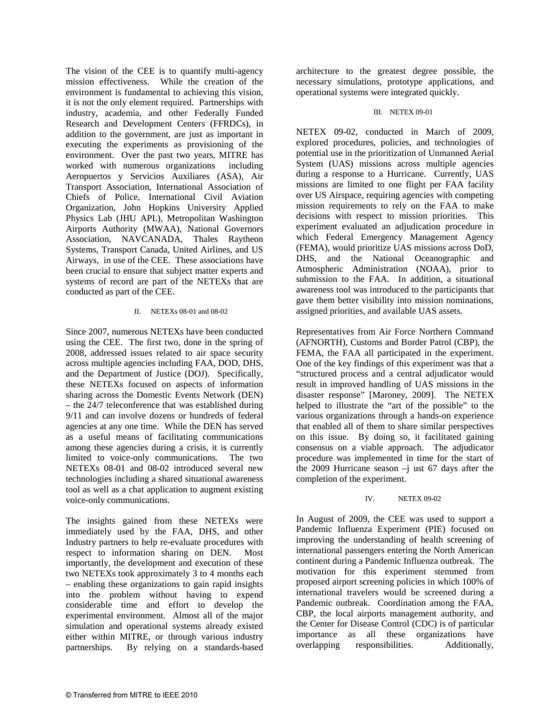The vision of the CEE is to quantify multi-agency mission effectiveness. While the creation of the environment is fundamental to achieving this vision, it is not the only element required. Partnerships with industry, academia, and other Federally Funded Research and Development Centers (FFRDCs), in addition to the government, are just as important in executing the experiments as provisioning of the environment. Over the past two years, MITRE has worked with numerous organizations including Aeropuertos y Servicios Auxiliares (ASA), Air Transport Association, International Association of Chiefs of Police, International Civil Aviation Organization, John Hopkins University Applied Physics Lab (JHU APL), Metropolitan Washington Airports Authority (MWAA), National Governors Association, NAVCANADA, Thales Raytheon Systems, Transport Canada, United Airlines, and US Airways, in use of the CEE. These associations have been crucial to ensure that subject matter experts and systems of record are part of the NETEXs that are conducted as part of the CEE.

## II. NETEXs 08-01 and 08-02

Since 2007, numerous NETEXs have been conducted using the CEE. The first two, done in the spring of 2008, addressed issues related to air space security across multiple agencies including FAA, DOD, DHS, and the Department of Justice (DOJ). Specifically, these NETEXs focused on aspects of information sharing across the Domestic Events Network (DEN) – the 24/7 teleconference that was established during 9/11 and can involve dozens or hundreds of federal agencies at any one time. While the DEN has served as a useful means of facilitating communications among these agencies during a crisis, it is currently limited to voice-only communications. The two NETEXs 08-01 and 08-02 introduced several new technologies including a shared situational awareness tool as well as a chat application to augment existing voice-only communications.

The insights gained from these NETEXs were immediately used by the FAA, DHS, and other Industry partners to help re-evaluate procedures with respect to information sharing on DEN. Most importantly, the development and execution of these two NETEXs took approximately 3 to 4 months each – enabling these organizations to gain rapid insights into the problem without having to expend considerable time and effort to develop the experimental environment. Almost all of the major simulation and operational systems already existed either within MITRE, or through various industry<br>partnerships. By relying on a standards-based By relying on a standards-based

architecture to the greatest degree possible, the necessary simulations, prototype applications, and operational systems were integrated quickly.

#### III. NETEX 09-01

NETEX 09-02, conducted in March of 2009, explored procedures, policies, and technologies of potential use in the prioritization of Unmanned Aerial System (UAS) missions across multiple agencies during a response to a Hurricane. Currently, UAS missions are limited to one flight per FAA facility over US Airspace, requiring agencies with competing mission requirements to rely on the FAA to make decisions with respect to mission priorities. This experiment evaluated an adjudication procedure in which Federal Emergency Management Agency (FEMA), would prioritize UAS missions across DoD, DHS, and the National Oceanographic and Atmospheric Administration (NOAA), prior to submission to the FAA. In addition, a situational awareness tool was introduced to the participants that gave them better visibility into mission nominations, assigned priorities, and available UAS assets.

Representatives from Air Force Northern Command (AFNORTH), Customs and Border Patrol (CBP), the FEMA, the FAA all participated in the experiment. One of the key findings of this experiment was that a "structured process and a central adjudicator would result in improved handling of UAS missions in the disaster response" [Maroney, 2009]. The NETEX helped to illustrate the "art of the possible" to the various organizations through a hands-on experience that enabled all of them to share similar perspectives on this issue. By doing so, it facilitated gaining consensus on a viable approach. The adjudicator procedure was implemented in time for the start of the 2009 Hurricane season  $-j$  ust 67 days after the completion of the experiment.

## IV. NETEX 09-02

In August of 2009, the CEE was used to support a Pandemic Influenza Experiment (PIE) focused on improving the understanding of health screening of international passengers entering the North American continent during a Pandemic Influenza outbreak. The motivation for this experiment stemmed from proposed airport screening policies in which 100% of international travelers would be screened during a Pandemic outbreak. Coordination among the FAA, CBP, the local airports management authority, and the Center for Disease Control (CDC) is of particular importance as all these organizations have overlapping responsibilities. Additionally,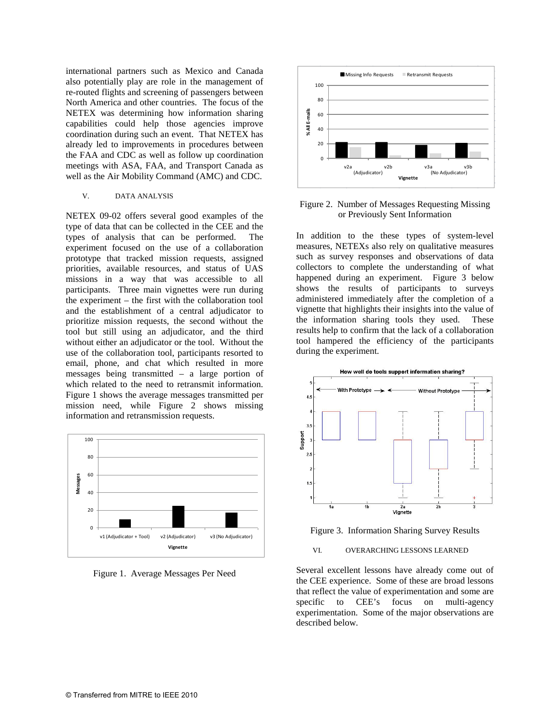international partners such as Mexico and Canada also potentially play are role in the management of re-routed flights and screening of passengers between North America and other countries. The focus of the NETEX was determining how information sharing capabilities could help those agencies improve coordination during such an event. That NETEX has already led to improvements in procedures between the FAA and CDC as well as follow up coordination meetings with ASA, FAA, and Transport Canada as well as the Air Mobility Command (AMC) and CDC.

#### V. DATA ANALYSIS

NETEX 09-02 offers several good examples of the type of data that can be collected in the CEE and the types of analysis that can be performed. The experiment focused on the use of a collaboration prototype that tracked mission requests, assigned priorities, available resources, and status of UAS missions in a way that was accessible to all participants. Three main vignettes were run during the experiment – the first with the collaboration tool and the establishment of a central adjudicator to prioritize mission requests, the second without the tool but still using an adjudicator, and the third without either an adjudicator or the tool. Without the use of the collaboration tool, participants resorted to email, phone, and chat which resulted in more messages being transmitted – a large portion of which related to the need to retransmit information. Figure 1 shows the average messages transmitted per mission need, while Figure 2 shows missing information and retransmission requests.



Figure 1. Average Messages Per Need



#### Figure 2. Number of Messages Requesting Missing or Previously Sent Information

In addition to the these types of system-level measures, NETEXs also rely on qualitative measures such as survey responses and observations of data collectors to complete the understanding of what happened during an experiment. Figure 3 below shows the results of participants to surveys administered immediately after the completion of a vignette that highlights their insights into the value of the information sharing tools they used. These results help to confirm that the lack of a collaboration tool hampered the efficiency of the participants during the experiment.



Figure 3. Information Sharing Survey Results

#### VI. OVERARCHING LESSONS LEARNED

Several excellent lessons have already come out of the CEE experience. Some of these are broad lessons that reflect the value of experimentation and some are specific to CEE's focus on multi-agency experimentation. Some of the major observations are described below.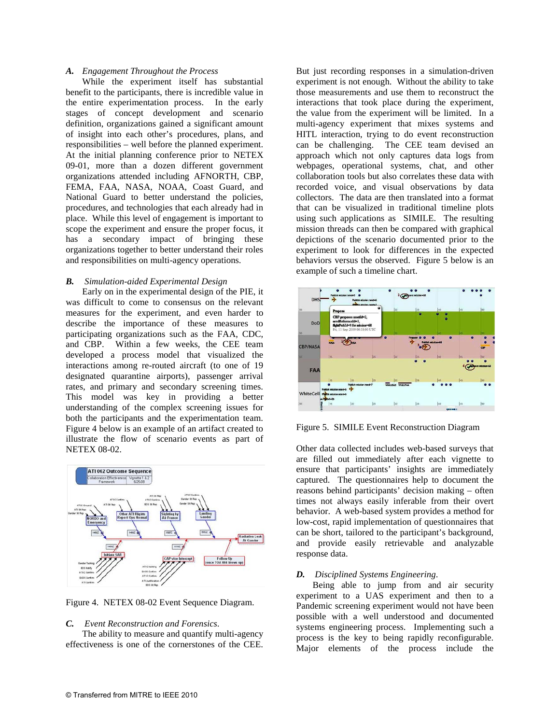#### *A. Engagement Throughout the Process*

While the experiment itself has substantial benefit to the participants, there is incredible value in the entire experimentation process. In the early stages of concept development and scenario definition, organizations gained a significant amount of insight into each other's procedures, plans, and responsibilities – well before the planned experiment. At the initial planning conference prior to NETEX 09-01, more than a dozen different government organizations attended including AFNORTH, CBP, FEMA, FAA, NASA, NOAA, Coast Guard, and National Guard to better understand the policies, procedures, and technologies that each already had in place. While this level of engagement is important to scope the experiment and ensure the proper focus, it has a secondary impact of bringing these organizations together to better understand their roles and responsibilities on multi-agency operations.

#### *B. Simulation-aided Experimental Design*

Early on in the experimental design of the PIE, it was difficult to come to consensus on the relevant measures for the experiment, and even harder to describe the importance of these measures to participating organizations such as the FAA, CDC, and CBP. Within a few weeks, the CEE team developed a process model that visualized the interactions among re-routed aircraft (to one of 19 designated quarantine airports), passenger arrival rates, and primary and secondary screening times. This model was key in providing a better understanding of the complex screening issues for both the participants and the experimentation team. Figure 4 below is an example of an artifact created to illustrate the flow of scenario events as part of NETEX 08-02.



Figure 4. NETEX 08-02 Event Sequence Diagram.

# *C. Event Reconstruction and Forensics*.

The ability to measure and quantify multi-agency effectiveness is one of the cornerstones of the CEE.

But just recording responses in a simulation-driven experiment is not enough. Without the ability to take those measurements and use them to reconstruct the interactions that took place during the experiment, the value from the experiment will be limited. In a multi-agency experiment that mixes systems and HITL interaction, trying to do event reconstruction can be challenging. The CEE team devised an approach which not only captures data logs from webpages, operational systems, chat, and other collaboration tools but also correlates these data with recorded voice, and visual observations by data collectors. The data are then translated into a format that can be visualized in traditional timeline plots using such applications as SIMILE. The resulting mission threads can then be compared with graphical depictions of the scenario documented prior to the experiment to look for differences in the expected behaviors versus the observed. Figure 5 below is an example of such a timeline chart.



Figure 5. SIMILE Event Reconstruction Diagram

Other data collected includes web-based surveys that are filled out immediately after each vignette to ensure that participants' insights are immediately captured. The questionnaires help to document the reasons behind participants' decision making – often times not always easily inferable from their overt behavior. A web-based system provides a method for low-cost, rapid implementation of questionnaires that can be short, tailored to the participant's background, and provide easily retrievable and analyzable response data.

#### *D. Disciplined Systems Engineering*.

Being able to jump from and air security experiment to a UAS experiment and then to a Pandemic screening experiment would not have been possible with a well understood and documented systems engineering process. Implementing such a process is the key to being rapidly reconfigurable. Major elements of the process include the